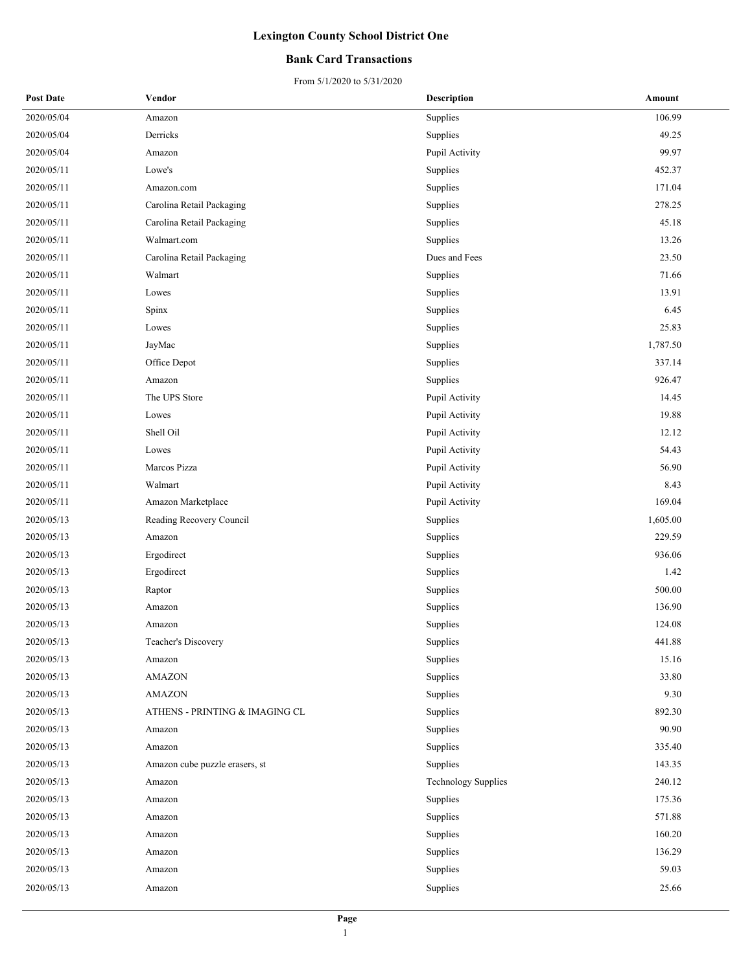### **Bank Card Transactions**

| <b>Post Date</b> | Vendor                         | <b>Description</b>         | Amount   |
|------------------|--------------------------------|----------------------------|----------|
| 2020/05/04       | Amazon                         | Supplies                   | 106.99   |
| 2020/05/04       | Derricks                       | Supplies                   | 49.25    |
| 2020/05/04       | Amazon                         | Pupil Activity             | 99.97    |
| 2020/05/11       | Lowe's                         | Supplies                   | 452.37   |
| 2020/05/11       | Amazon.com                     | Supplies                   | 171.04   |
| 2020/05/11       | Carolina Retail Packaging      | Supplies                   | 278.25   |
| 2020/05/11       | Carolina Retail Packaging      | Supplies                   | 45.18    |
| 2020/05/11       | Walmart.com                    | Supplies                   | 13.26    |
| 2020/05/11       | Carolina Retail Packaging      | Dues and Fees              | 23.50    |
| 2020/05/11       | Walmart                        | Supplies                   | 71.66    |
| 2020/05/11       | Lowes                          | Supplies                   | 13.91    |
| 2020/05/11       | Spinx                          | Supplies                   | 6.45     |
| 2020/05/11       | Lowes                          | Supplies                   | 25.83    |
| 2020/05/11       | JayMac                         | Supplies                   | 1,787.50 |
| 2020/05/11       | Office Depot                   | Supplies                   | 337.14   |
| 2020/05/11       | Amazon                         | Supplies                   | 926.47   |
| 2020/05/11       | The UPS Store                  | Pupil Activity             | 14.45    |
| 2020/05/11       | Lowes                          | Pupil Activity             | 19.88    |
| 2020/05/11       | Shell Oil                      | Pupil Activity             | 12.12    |
| 2020/05/11       | Lowes                          | Pupil Activity             | 54.43    |
| 2020/05/11       | Marcos Pizza                   | Pupil Activity             | 56.90    |
| 2020/05/11       | Walmart                        | Pupil Activity             | 8.43     |
| 2020/05/11       | Amazon Marketplace             | Pupil Activity             | 169.04   |
| 2020/05/13       | Reading Recovery Council       | Supplies                   | 1,605.00 |
| 2020/05/13       | Amazon                         | Supplies                   | 229.59   |
| 2020/05/13       | Ergodirect                     | Supplies                   | 936.06   |
| 2020/05/13       | Ergodirect                     | Supplies                   | 1.42     |
| 2020/05/13       | Raptor                         | Supplies                   | 500.00   |
| 2020/05/13       | Amazon                         | Supplies                   | 136.90   |
| 2020/05/13       | Amazon                         | Supplies                   | 124.08   |
| 2020/05/13       | Teacher's Discovery            | Supplies                   | 441.88   |
| 2020/05/13       | Amazon                         | Supplies                   | 15.16    |
| 2020/05/13       | <b>AMAZON</b>                  | Supplies                   | 33.80    |
| 2020/05/13       | <b>AMAZON</b>                  | Supplies                   | 9.30     |
| 2020/05/13       | ATHENS - PRINTING & IMAGING CL | Supplies                   | 892.30   |
| 2020/05/13       | Amazon                         | Supplies                   | 90.90    |
| 2020/05/13       | Amazon                         | Supplies                   | 335.40   |
| 2020/05/13       | Amazon cube puzzle erasers, st | Supplies                   | 143.35   |
| 2020/05/13       | Amazon                         | <b>Technology Supplies</b> | 240.12   |
| 2020/05/13       | Amazon                         | Supplies                   | 175.36   |
| 2020/05/13       | Amazon                         | Supplies                   | 571.88   |
| 2020/05/13       | Amazon                         | Supplies                   | 160.20   |
| 2020/05/13       | Amazon                         | Supplies                   | 136.29   |
| 2020/05/13       | Amazon                         | Supplies                   | 59.03    |
| 2020/05/13       | Amazon                         | Supplies                   | 25.66    |
|                  |                                |                            |          |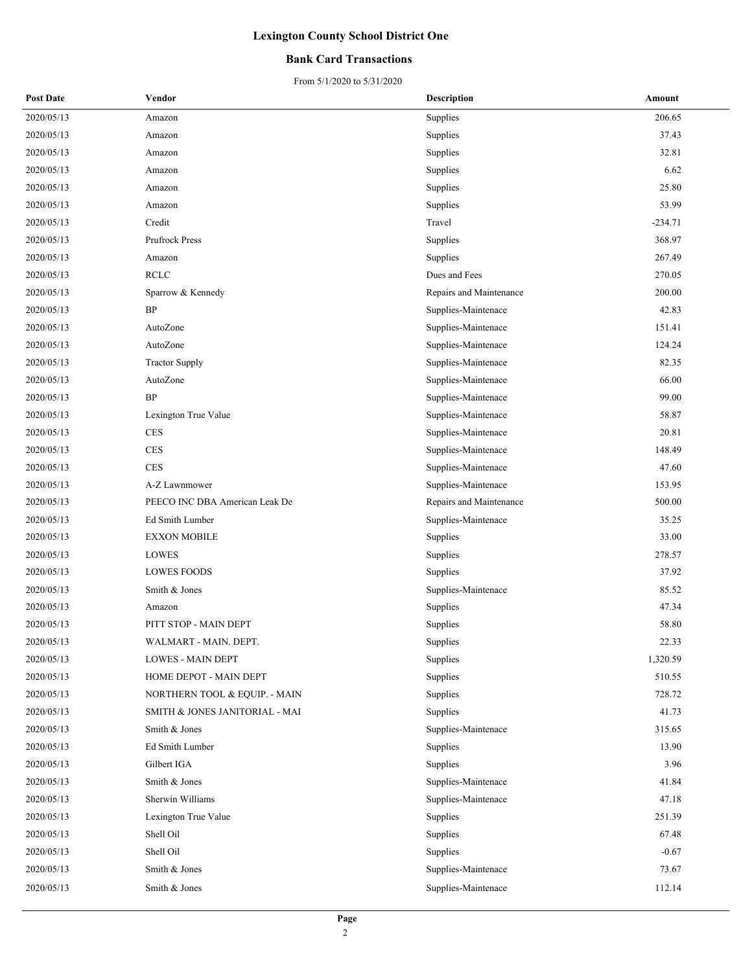### **Bank Card Transactions**

| <b>Post Date</b> | Vendor                         | <b>Description</b>      | Amount    |
|------------------|--------------------------------|-------------------------|-----------|
| 2020/05/13       | Amazon                         | Supplies                | 206.65    |
| 2020/05/13       | Amazon                         | Supplies                | 37.43     |
| 2020/05/13       | Amazon                         | Supplies                | 32.81     |
| 2020/05/13       | Amazon                         | Supplies                | 6.62      |
| 2020/05/13       | Amazon                         | Supplies                | 25.80     |
| 2020/05/13       | Amazon                         | Supplies                | 53.99     |
| 2020/05/13       | Credit                         | Travel                  | $-234.71$ |
| 2020/05/13       | Prufrock Press                 | Supplies                | 368.97    |
| 2020/05/13       | Amazon                         | Supplies                | 267.49    |
| 2020/05/13       | <b>RCLC</b>                    | Dues and Fees           | 270.05    |
| 2020/05/13       | Sparrow & Kennedy              | Repairs and Maintenance | 200.00    |
| 2020/05/13       | BP                             | Supplies-Maintenace     | 42.83     |
| 2020/05/13       | AutoZone                       | Supplies-Maintenace     | 151.41    |
| 2020/05/13       | AutoZone                       | Supplies-Maintenace     | 124.24    |
| 2020/05/13       | <b>Tractor Supply</b>          | Supplies-Maintenace     | 82.35     |
| 2020/05/13       | AutoZone                       | Supplies-Maintenace     | 66.00     |
| 2020/05/13       | <b>BP</b>                      | Supplies-Maintenace     | 99.00     |
| 2020/05/13       | Lexington True Value           | Supplies-Maintenace     | 58.87     |
| 2020/05/13       | <b>CES</b>                     | Supplies-Maintenace     | 20.81     |
| 2020/05/13       | <b>CES</b>                     | Supplies-Maintenace     | 148.49    |
| 2020/05/13       | <b>CES</b>                     | Supplies-Maintenace     | 47.60     |
| 2020/05/13       | A-Z Lawnmower                  | Supplies-Maintenace     | 153.95    |
| 2020/05/13       | PEECO INC DBA American Leak De | Repairs and Maintenance | 500.00    |
| 2020/05/13       | Ed Smith Lumber                | Supplies-Maintenace     | 35.25     |
| 2020/05/13       | <b>EXXON MOBILE</b>            | Supplies                | 33.00     |
| 2020/05/13       | LOWES                          | Supplies                | 278.57    |
| 2020/05/13       | <b>LOWES FOODS</b>             | Supplies                | 37.92     |
| 2020/05/13       | Smith & Jones                  | Supplies-Maintenace     | 85.52     |
| 2020/05/13       | Amazon                         | Supplies                | 47.34     |
| 2020/05/13       | PITT STOP - MAIN DEPT          | Supplies                | 58.80     |
| 2020/05/13       | WALMART - MAIN. DEPT.          | Supplies                | 22.33     |
| 2020/05/13       | <b>LOWES - MAIN DEPT</b>       | Supplies                | 1,320.59  |
| 2020/05/13       | HOME DEPOT - MAIN DEPT         | Supplies                | 510.55    |
| 2020/05/13       | NORTHERN TOOL & EQUIP. - MAIN  | Supplies                | 728.72    |
| 2020/05/13       | SMITH & JONES JANITORIAL - MAI | Supplies                | 41.73     |
| 2020/05/13       | Smith & Jones                  | Supplies-Maintenace     | 315.65    |
| 2020/05/13       | Ed Smith Lumber                | Supplies                | 13.90     |
| 2020/05/13       | Gilbert IGA                    | Supplies                | 3.96      |
| 2020/05/13       | Smith & Jones                  | Supplies-Maintenace     | 41.84     |
| 2020/05/13       | Sherwin Williams               | Supplies-Maintenace     | 47.18     |
| 2020/05/13       | Lexington True Value           | Supplies                | 251.39    |
| 2020/05/13       | Shell Oil                      | Supplies                | 67.48     |
| 2020/05/13       | Shell Oil                      | Supplies                | $-0.67$   |
| 2020/05/13       | Smith & Jones                  | Supplies-Maintenace     | 73.67     |
| 2020/05/13       | Smith & Jones                  | Supplies-Maintenace     | 112.14    |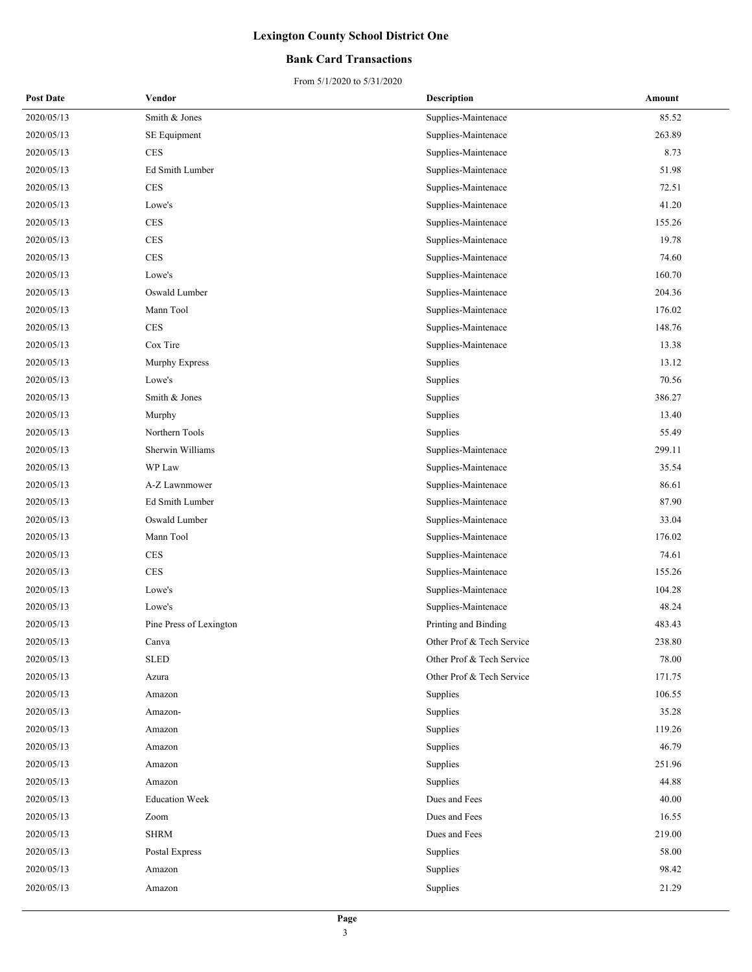### **Bank Card Transactions**

| <b>Post Date</b> | Vendor                  | <b>Description</b>        | Amount |
|------------------|-------------------------|---------------------------|--------|
| 2020/05/13       | Smith & Jones           | Supplies-Maintenace       | 85.52  |
| 2020/05/13       | SE Equipment            | Supplies-Maintenace       | 263.89 |
| 2020/05/13       | <b>CES</b>              | Supplies-Maintenace       | 8.73   |
| 2020/05/13       | Ed Smith Lumber         | Supplies-Maintenace       | 51.98  |
| 2020/05/13       | <b>CES</b>              | Supplies-Maintenace       | 72.51  |
| 2020/05/13       | Lowe's                  | Supplies-Maintenace       | 41.20  |
| 2020/05/13       | <b>CES</b>              | Supplies-Maintenace       | 155.26 |
| 2020/05/13       | <b>CES</b>              | Supplies-Maintenace       | 19.78  |
| 2020/05/13       | <b>CES</b>              | Supplies-Maintenace       | 74.60  |
| 2020/05/13       | Lowe's                  | Supplies-Maintenace       | 160.70 |
| 2020/05/13       | Oswald Lumber           | Supplies-Maintenace       | 204.36 |
| 2020/05/13       | Mann Tool               | Supplies-Maintenace       | 176.02 |
| 2020/05/13       | <b>CES</b>              | Supplies-Maintenace       | 148.76 |
| 2020/05/13       | Cox Tire                | Supplies-Maintenace       | 13.38  |
| 2020/05/13       | Murphy Express          | Supplies                  | 13.12  |
| 2020/05/13       | Lowe's                  | Supplies                  | 70.56  |
| 2020/05/13       | Smith & Jones           | Supplies                  | 386.27 |
| 2020/05/13       | Murphy                  | Supplies                  | 13.40  |
| 2020/05/13       | Northern Tools          | Supplies                  | 55.49  |
| 2020/05/13       | Sherwin Williams        | Supplies-Maintenace       | 299.11 |
| 2020/05/13       | WP Law                  | Supplies-Maintenace       | 35.54  |
| 2020/05/13       | A-Z Lawnmower           | Supplies-Maintenace       | 86.61  |
| 2020/05/13       | Ed Smith Lumber         | Supplies-Maintenace       | 87.90  |
| 2020/05/13       | Oswald Lumber           | Supplies-Maintenace       | 33.04  |
| 2020/05/13       | Mann Tool               | Supplies-Maintenace       | 176.02 |
| 2020/05/13       | <b>CES</b>              | Supplies-Maintenace       | 74.61  |
| 2020/05/13       | <b>CES</b>              | Supplies-Maintenace       | 155.26 |
| 2020/05/13       | Lowe's                  | Supplies-Maintenace       | 104.28 |
| 2020/05/13       | Lowe's                  | Supplies-Maintenace       | 48.24  |
| 2020/05/13       | Pine Press of Lexington | Printing and Binding      | 483.43 |
| 2020/05/13       | Canva                   | Other Prof & Tech Service | 238.80 |
| 2020/05/13       | <b>SLED</b>             | Other Prof & Tech Service | 78.00  |
| 2020/05/13       | Azura                   | Other Prof & Tech Service | 171.75 |
| 2020/05/13       | Amazon                  | Supplies                  | 106.55 |
| 2020/05/13       | Amazon-                 | Supplies                  | 35.28  |
| 2020/05/13       | Amazon                  | Supplies                  | 119.26 |
| 2020/05/13       | Amazon                  | Supplies                  | 46.79  |
| 2020/05/13       | Amazon                  | Supplies                  | 251.96 |
| 2020/05/13       | Amazon                  | Supplies                  | 44.88  |
| 2020/05/13       | <b>Education Week</b>   | Dues and Fees             | 40.00  |
| 2020/05/13       | Zoom                    | Dues and Fees             | 16.55  |
| 2020/05/13       | <b>SHRM</b>             | Dues and Fees             | 219.00 |
| 2020/05/13       | Postal Express          | Supplies                  | 58.00  |
| 2020/05/13       | Amazon                  | Supplies                  | 98.42  |
| 2020/05/13       | Amazon                  | Supplies                  | 21.29  |
|                  |                         |                           |        |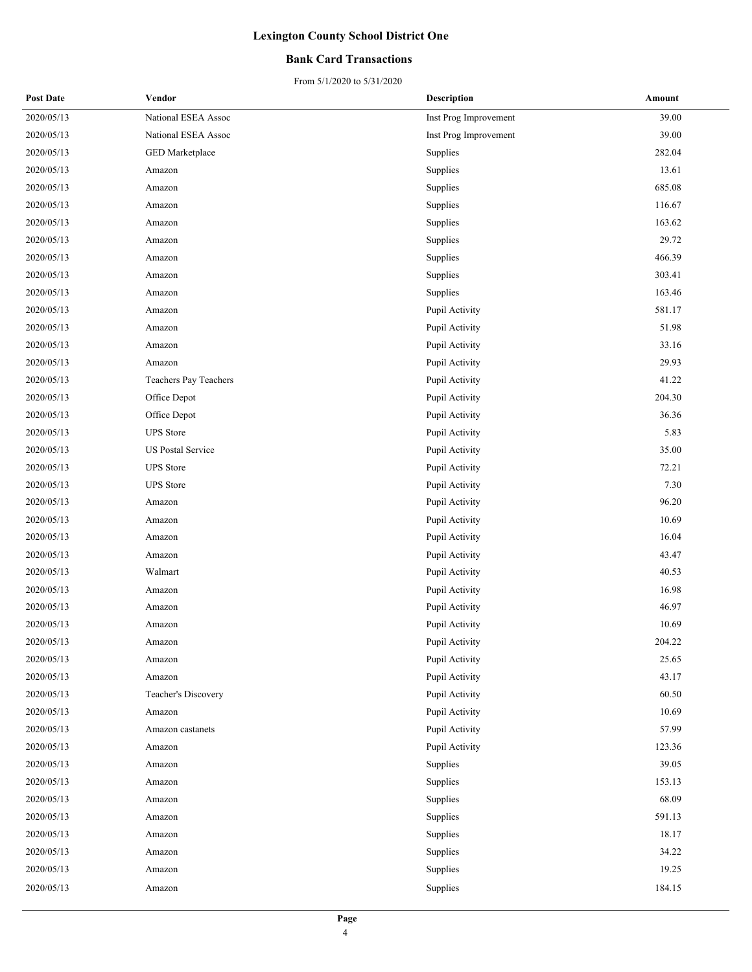### **Bank Card Transactions**

| <b>Post Date</b> | Vendor                   | <b>Description</b>    | Amount |
|------------------|--------------------------|-----------------------|--------|
| 2020/05/13       | National ESEA Assoc      | Inst Prog Improvement | 39.00  |
| 2020/05/13       | National ESEA Assoc      | Inst Prog Improvement | 39.00  |
| 2020/05/13       | GED Marketplace          | Supplies              | 282.04 |
| 2020/05/13       | Amazon                   | Supplies              | 13.61  |
| 2020/05/13       | Amazon                   | Supplies              | 685.08 |
| 2020/05/13       | Amazon                   | Supplies              | 116.67 |
| 2020/05/13       | Amazon                   | Supplies              | 163.62 |
| 2020/05/13       | Amazon                   | Supplies              | 29.72  |
| 2020/05/13       | Amazon                   | Supplies              | 466.39 |
| 2020/05/13       | Amazon                   | Supplies              | 303.41 |
| 2020/05/13       | Amazon                   | Supplies              | 163.46 |
| 2020/05/13       | Amazon                   | Pupil Activity        | 581.17 |
| 2020/05/13       | Amazon                   | Pupil Activity        | 51.98  |
| 2020/05/13       | Amazon                   | Pupil Activity        | 33.16  |
| 2020/05/13       | Amazon                   | Pupil Activity        | 29.93  |
| 2020/05/13       | Teachers Pay Teachers    | Pupil Activity        | 41.22  |
| 2020/05/13       | Office Depot             | Pupil Activity        | 204.30 |
| 2020/05/13       | Office Depot             | Pupil Activity        | 36.36  |
| 2020/05/13       | <b>UPS</b> Store         | Pupil Activity        | 5.83   |
| 2020/05/13       | <b>US Postal Service</b> | Pupil Activity        | 35.00  |
| 2020/05/13       | <b>UPS</b> Store         | Pupil Activity        | 72.21  |
| 2020/05/13       | <b>UPS</b> Store         | Pupil Activity        | 7.30   |
| 2020/05/13       | Amazon                   | Pupil Activity        | 96.20  |
| 2020/05/13       | Amazon                   | Pupil Activity        | 10.69  |
| 2020/05/13       | Amazon                   | Pupil Activity        | 16.04  |
| 2020/05/13       | Amazon                   | Pupil Activity        | 43.47  |
| 2020/05/13       | Walmart                  | Pupil Activity        | 40.53  |
| 2020/05/13       | Amazon                   | Pupil Activity        | 16.98  |
| 2020/05/13       | Amazon                   | Pupil Activity        | 46.97  |
| 2020/05/13       | Amazon                   | Pupil Activity        | 10.69  |
| 2020/05/13       | Amazon                   | Pupil Activity        | 204.22 |
| 2020/05/13       | Amazon                   | Pupil Activity        | 25.65  |
| 2020/05/13       | Amazon                   | Pupil Activity        | 43.17  |
| 2020/05/13       | Teacher's Discovery      | Pupil Activity        | 60.50  |
| 2020/05/13       | Amazon                   | Pupil Activity        | 10.69  |
| 2020/05/13       | Amazon castanets         | Pupil Activity        | 57.99  |
| 2020/05/13       | Amazon                   | Pupil Activity        | 123.36 |
| 2020/05/13       | Amazon                   | Supplies              | 39.05  |
| 2020/05/13       | Amazon                   | Supplies              | 153.13 |
| 2020/05/13       | Amazon                   | Supplies              | 68.09  |
| 2020/05/13       | Amazon                   | Supplies              | 591.13 |
| 2020/05/13       | Amazon                   | Supplies              | 18.17  |
| 2020/05/13       | Amazon                   | Supplies              | 34.22  |
| 2020/05/13       | Amazon                   | Supplies              | 19.25  |
| 2020/05/13       | Amazon                   | Supplies              | 184.15 |
|                  |                          |                       |        |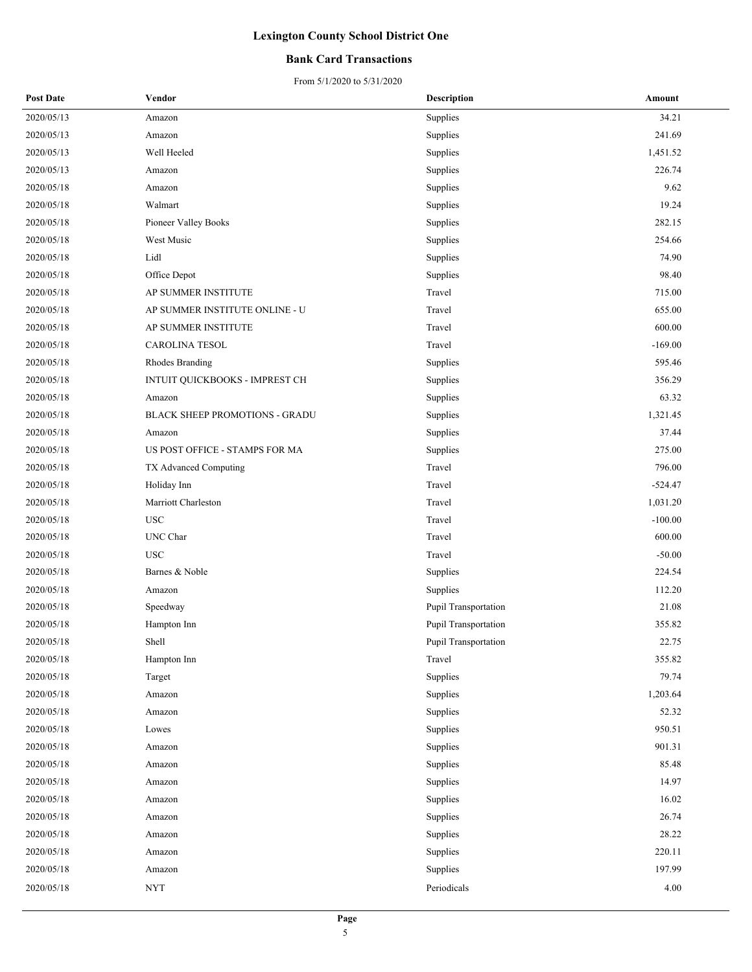### **Bank Card Transactions**

| <b>Post Date</b> | Vendor                                | <b>Description</b>   | Amount    |
|------------------|---------------------------------------|----------------------|-----------|
| 2020/05/13       | Amazon                                | Supplies             | 34.21     |
| 2020/05/13       | Amazon                                | Supplies             | 241.69    |
| 2020/05/13       | Well Heeled                           | Supplies             | 1,451.52  |
| 2020/05/13       | Amazon                                | Supplies             | 226.74    |
| 2020/05/18       | Amazon                                | Supplies             | 9.62      |
| 2020/05/18       | Walmart                               | Supplies             | 19.24     |
| 2020/05/18       | Pioneer Valley Books                  | Supplies             | 282.15    |
| 2020/05/18       | West Music                            | Supplies             | 254.66    |
| 2020/05/18       | Lidl                                  | Supplies             | 74.90     |
| 2020/05/18       | Office Depot                          | Supplies             | 98.40     |
| 2020/05/18       | AP SUMMER INSTITUTE                   | Travel               | 715.00    |
| 2020/05/18       | AP SUMMER INSTITUTE ONLINE - U        | Travel               | 655.00    |
| 2020/05/18       | AP SUMMER INSTITUTE                   | Travel               | 600.00    |
| 2020/05/18       | <b>CAROLINA TESOL</b>                 | Travel               | $-169.00$ |
| 2020/05/18       | Rhodes Branding                       | Supplies             | 595.46    |
| 2020/05/18       | INTUIT QUICKBOOKS - IMPREST CH        | Supplies             | 356.29    |
| 2020/05/18       | Amazon                                | Supplies             | 63.32     |
| 2020/05/18       | <b>BLACK SHEEP PROMOTIONS - GRADU</b> | Supplies             | 1,321.45  |
| 2020/05/18       | Amazon                                | Supplies             | 37.44     |
| 2020/05/18       | US POST OFFICE - STAMPS FOR MA        | Supplies             | 275.00    |
| 2020/05/18       | TX Advanced Computing                 | Travel               | 796.00    |
| 2020/05/18       | Holiday Inn                           | Travel               | $-524.47$ |
| 2020/05/18       | Marriott Charleston                   | Travel               | 1,031.20  |
| 2020/05/18       | <b>USC</b>                            | Travel               | $-100.00$ |
| 2020/05/18       | UNC Char                              | Travel               | 600.00    |
| 2020/05/18       | <b>USC</b>                            | Travel               | $-50.00$  |
| 2020/05/18       | Barnes & Noble                        | Supplies             | 224.54    |
| 2020/05/18       | Amazon                                | Supplies             | 112.20    |
| 2020/05/18       | Speedway                              | Pupil Transportation | 21.08     |
| 2020/05/18       | Hampton Inn                           | Pupil Transportation | 355.82    |
| 2020/05/18       | Shell                                 | Pupil Transportation | 22.75     |
| 2020/05/18       | Hampton Inn                           | Travel               | 355.82    |
| 2020/05/18       | Target                                | Supplies             | 79.74     |
| 2020/05/18       | Amazon                                | Supplies             | 1,203.64  |
| 2020/05/18       | Amazon                                | Supplies             | 52.32     |
| 2020/05/18       | Lowes                                 | Supplies             | 950.51    |
| 2020/05/18       | Amazon                                | Supplies             | 901.31    |
| 2020/05/18       | Amazon                                | Supplies             | 85.48     |
| 2020/05/18       | Amazon                                | Supplies             | 14.97     |
| 2020/05/18       | Amazon                                | Supplies             | 16.02     |
| 2020/05/18       | Amazon                                | Supplies             | 26.74     |
| 2020/05/18       | Amazon                                | Supplies             | 28.22     |
| 2020/05/18       | Amazon                                | Supplies             | 220.11    |
| 2020/05/18       | Amazon                                | Supplies             | 197.99    |
| 2020/05/18       | <b>NYT</b>                            | Periodicals          | $4.00\,$  |
|                  |                                       |                      |           |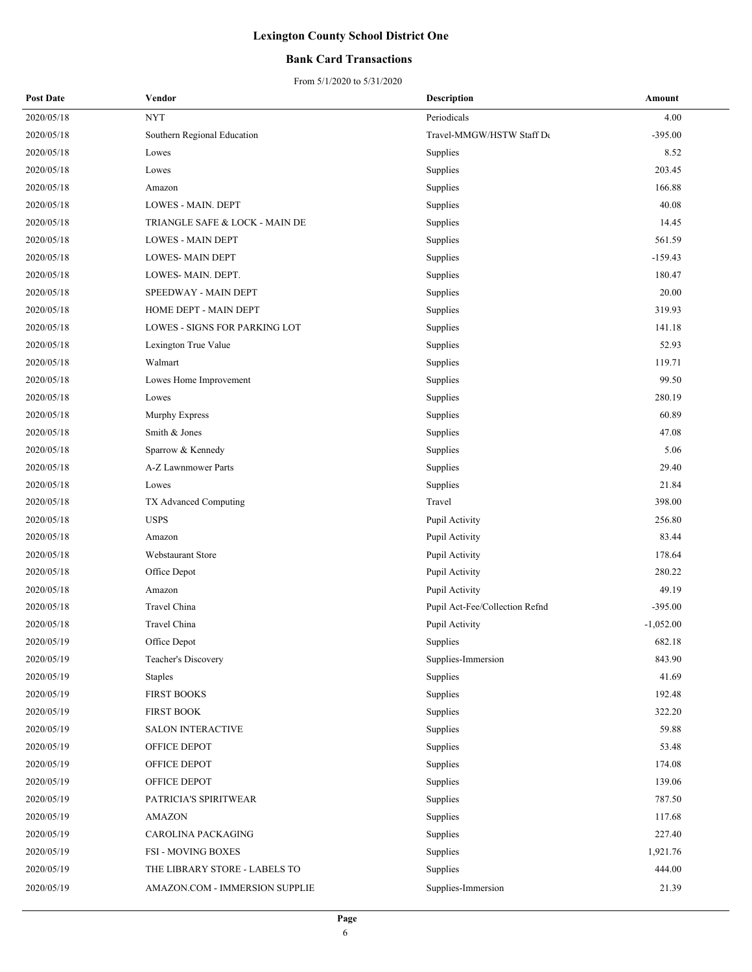### **Bank Card Transactions**

| <b>Post Date</b> | Vendor                         | Description                    | Amount      |
|------------------|--------------------------------|--------------------------------|-------------|
| 2020/05/18       | <b>NYT</b>                     | Periodicals                    | 4.00        |
| 2020/05/18       | Southern Regional Education    | Travel-MMGW/HSTW Staff De      | $-395.00$   |
| 2020/05/18       | Lowes                          | Supplies                       | 8.52        |
| 2020/05/18       | Lowes                          | Supplies                       | 203.45      |
| 2020/05/18       | Amazon                         | Supplies                       | 166.88      |
| 2020/05/18       | LOWES - MAIN. DEPT             | Supplies                       | 40.08       |
| 2020/05/18       | TRIANGLE SAFE & LOCK - MAIN DE | Supplies                       | 14.45       |
| 2020/05/18       | <b>LOWES - MAIN DEPT</b>       | Supplies                       | 561.59      |
| 2020/05/18       | <b>LOWES-MAIN DEPT</b>         | Supplies                       | $-159.43$   |
| 2020/05/18       | LOWES-MAIN. DEPT.              | Supplies                       | 180.47      |
| 2020/05/18       | SPEEDWAY - MAIN DEPT           | Supplies                       | 20.00       |
| 2020/05/18       | HOME DEPT - MAIN DEPT          | Supplies                       | 319.93      |
| 2020/05/18       | LOWES - SIGNS FOR PARKING LOT  | Supplies                       | 141.18      |
| 2020/05/18       | Lexington True Value           | Supplies                       | 52.93       |
| 2020/05/18       | Walmart                        | Supplies                       | 119.71      |
| 2020/05/18       | Lowes Home Improvement         | Supplies                       | 99.50       |
| 2020/05/18       | Lowes                          | Supplies                       | 280.19      |
| 2020/05/18       | Murphy Express                 | Supplies                       | 60.89       |
| 2020/05/18       | Smith & Jones                  | Supplies                       | 47.08       |
| 2020/05/18       | Sparrow & Kennedy              | Supplies                       | 5.06        |
| 2020/05/18       | A-Z Lawnmower Parts            | Supplies                       | 29.40       |
| 2020/05/18       | Lowes                          | Supplies                       | 21.84       |
| 2020/05/18       | TX Advanced Computing          | Travel                         | 398.00      |
| 2020/05/18       | <b>USPS</b>                    | Pupil Activity                 | 256.80      |
| 2020/05/18       | Amazon                         | Pupil Activity                 | 83.44       |
| 2020/05/18       | Webstaurant Store              | Pupil Activity                 | 178.64      |
| 2020/05/18       | Office Depot                   | Pupil Activity                 | 280.22      |
| 2020/05/18       | Amazon                         | Pupil Activity                 | 49.19       |
| 2020/05/18       | Travel China                   | Pupil Act-Fee/Collection Refnd | $-395.00$   |
| 2020/05/18       | Travel China                   | Pupil Activity                 | $-1,052.00$ |
| 2020/05/19       | Office Depot                   | Supplies                       | 682.18      |
| 2020/05/19       | Teacher's Discovery            | Supplies-Immersion             | 843.90      |
| 2020/05/19       | <b>Staples</b>                 | Supplies                       | 41.69       |
| 2020/05/19       | FIRST BOOKS                    | Supplies                       | 192.48      |
| 2020/05/19       | <b>FIRST BOOK</b>              | Supplies                       | 322.20      |
| 2020/05/19       | <b>SALON INTERACTIVE</b>       | Supplies                       | 59.88       |
| 2020/05/19       | OFFICE DEPOT                   | Supplies                       | 53.48       |
| 2020/05/19       | OFFICE DEPOT                   | Supplies                       | 174.08      |
| 2020/05/19       | OFFICE DEPOT                   | Supplies                       | 139.06      |
| 2020/05/19       | PATRICIA'S SPIRITWEAR          | Supplies                       | 787.50      |
| 2020/05/19       | <b>AMAZON</b>                  | Supplies                       | 117.68      |
| 2020/05/19       | CAROLINA PACKAGING             | Supplies                       | 227.40      |
| 2020/05/19       | <b>FSI - MOVING BOXES</b>      | Supplies                       | 1,921.76    |
| 2020/05/19       | THE LIBRARY STORE - LABELS TO  | Supplies                       | 444.00      |
| 2020/05/19       | AMAZON.COM - IMMERSION SUPPLIE | Supplies-Immersion             | 21.39       |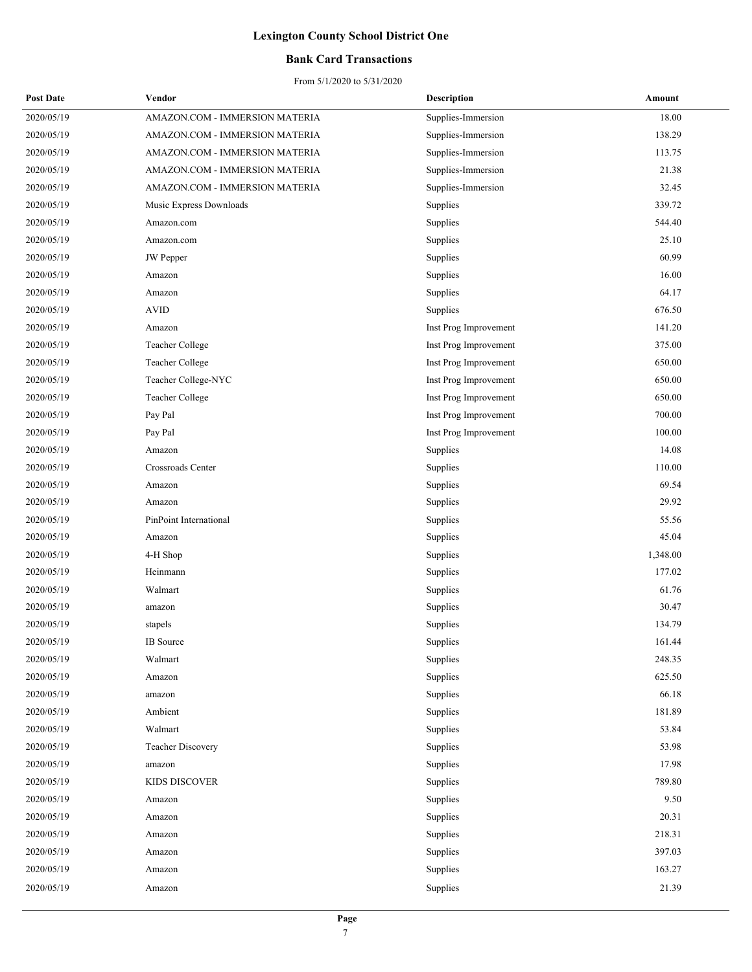### **Bank Card Transactions**

| <b>Post Date</b> | Vendor                         | <b>Description</b>    | Amount   |
|------------------|--------------------------------|-----------------------|----------|
| 2020/05/19       | AMAZON.COM - IMMERSION MATERIA | Supplies-Immersion    | 18.00    |
| 2020/05/19       | AMAZON.COM - IMMERSION MATERIA | Supplies-Immersion    | 138.29   |
| 2020/05/19       | AMAZON.COM - IMMERSION MATERIA | Supplies-Immersion    | 113.75   |
| 2020/05/19       | AMAZON.COM - IMMERSION MATERIA | Supplies-Immersion    | 21.38    |
| 2020/05/19       | AMAZON.COM - IMMERSION MATERIA | Supplies-Immersion    | 32.45    |
| 2020/05/19       | Music Express Downloads        | Supplies              | 339.72   |
| 2020/05/19       | Amazon.com                     | Supplies              | 544.40   |
| 2020/05/19       | Amazon.com                     | Supplies              | 25.10    |
| 2020/05/19       | <b>JW</b> Pepper               | Supplies              | 60.99    |
| 2020/05/19       | Amazon                         | Supplies              | 16.00    |
| 2020/05/19       | Amazon                         | Supplies              | 64.17    |
| 2020/05/19       | <b>AVID</b>                    | Supplies              | 676.50   |
| 2020/05/19       | Amazon                         | Inst Prog Improvement | 141.20   |
| 2020/05/19       | Teacher College                | Inst Prog Improvement | 375.00   |
| 2020/05/19       | Teacher College                | Inst Prog Improvement | 650.00   |
| 2020/05/19       | Teacher College-NYC            | Inst Prog Improvement | 650.00   |
| 2020/05/19       | Teacher College                | Inst Prog Improvement | 650.00   |
| 2020/05/19       | Pay Pal                        | Inst Prog Improvement | 700.00   |
| 2020/05/19       | Pay Pal                        | Inst Prog Improvement | 100.00   |
| 2020/05/19       | Amazon                         | Supplies              | 14.08    |
| 2020/05/19       | Crossroads Center              | Supplies              | 110.00   |
| 2020/05/19       | Amazon                         | Supplies              | 69.54    |
| 2020/05/19       | Amazon                         | Supplies              | 29.92    |
| 2020/05/19       | PinPoint International         | Supplies              | 55.56    |
| 2020/05/19       | Amazon                         | Supplies              | 45.04    |
| 2020/05/19       | 4-H Shop                       | Supplies              | 1,348.00 |
| 2020/05/19       | Heinmann                       | Supplies              | 177.02   |
| 2020/05/19       | Walmart                        | Supplies              | 61.76    |
| 2020/05/19       | amazon                         | Supplies              | 30.47    |
| 2020/05/19       | stapels                        | Supplies              | 134.79   |
| 2020/05/19       | <b>IB</b> Source               | Supplies              | 161.44   |
| 2020/05/19       | Walmart                        | Supplies              | 248.35   |
| 2020/05/19       | Amazon                         | Supplies              | 625.50   |
| 2020/05/19       | amazon                         | Supplies              | 66.18    |
| 2020/05/19       | Ambient                        | Supplies              | 181.89   |
| 2020/05/19       | Walmart                        | Supplies              | 53.84    |
| 2020/05/19       | <b>Teacher Discovery</b>       | Supplies              | 53.98    |
| 2020/05/19       | amazon                         | Supplies              | 17.98    |
| 2020/05/19       | KIDS DISCOVER                  | Supplies              | 789.80   |
| 2020/05/19       | Amazon                         | Supplies              | 9.50     |
| 2020/05/19       | Amazon                         | Supplies              | 20.31    |
| 2020/05/19       | Amazon                         | Supplies              | 218.31   |
| 2020/05/19       | Amazon                         | Supplies              | 397.03   |
| 2020/05/19       | Amazon                         | Supplies              | 163.27   |
| 2020/05/19       | Amazon                         | Supplies              | 21.39    |
|                  |                                |                       |          |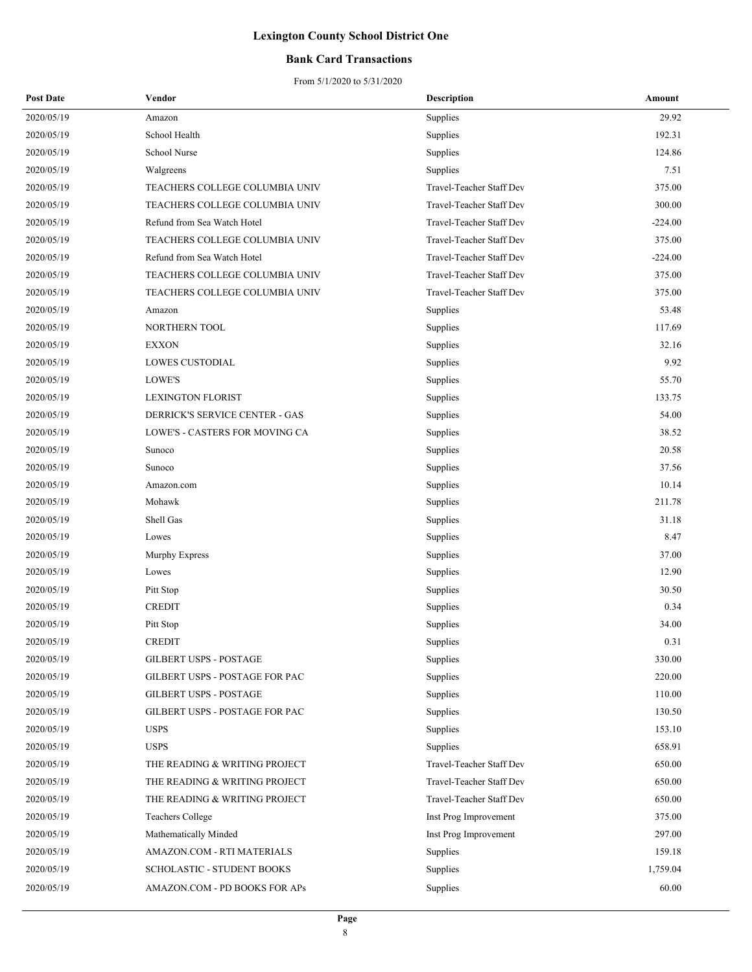### **Bank Card Transactions**

| <b>Post Date</b> | Vendor                                | <b>Description</b>       | Amount    |
|------------------|---------------------------------------|--------------------------|-----------|
| 2020/05/19       | Amazon                                | Supplies                 | 29.92     |
| 2020/05/19       | School Health                         | Supplies                 | 192.31    |
| 2020/05/19       | School Nurse                          | Supplies                 | 124.86    |
| 2020/05/19       | Walgreens                             | Supplies                 | 7.51      |
| 2020/05/19       | TEACHERS COLLEGE COLUMBIA UNIV        | Travel-Teacher Staff Dev | 375.00    |
| 2020/05/19       | TEACHERS COLLEGE COLUMBIA UNIV        | Travel-Teacher Staff Dev | 300.00    |
| 2020/05/19       | Refund from Sea Watch Hotel           | Travel-Teacher Staff Dev | $-224.00$ |
| 2020/05/19       | TEACHERS COLLEGE COLUMBIA UNIV        | Travel-Teacher Staff Dev | 375.00    |
| 2020/05/19       | Refund from Sea Watch Hotel           | Travel-Teacher Staff Dev | $-224.00$ |
| 2020/05/19       | TEACHERS COLLEGE COLUMBIA UNIV        | Travel-Teacher Staff Dev | 375.00    |
| 2020/05/19       | TEACHERS COLLEGE COLUMBIA UNIV        | Travel-Teacher Staff Dev | 375.00    |
| 2020/05/19       | Amazon                                | Supplies                 | 53.48     |
| 2020/05/19       | NORTHERN TOOL                         | Supplies                 | 117.69    |
| 2020/05/19       | <b>EXXON</b>                          | Supplies                 | 32.16     |
| 2020/05/19       | <b>LOWES CUSTODIAL</b>                | Supplies                 | 9.92      |
| 2020/05/19       | LOWE'S                                | Supplies                 | 55.70     |
| 2020/05/19       | <b>LEXINGTON FLORIST</b>              | Supplies                 | 133.75    |
| 2020/05/19       | <b>DERRICK'S SERVICE CENTER - GAS</b> | Supplies                 | 54.00     |
| 2020/05/19       | LOWE'S - CASTERS FOR MOVING CA        | Supplies                 | 38.52     |
| 2020/05/19       | Sunoco                                | Supplies                 | 20.58     |
| 2020/05/19       | Sunoco                                | Supplies                 | 37.56     |
| 2020/05/19       | Amazon.com                            | Supplies                 | 10.14     |
| 2020/05/19       | Mohawk                                | Supplies                 | 211.78    |
| 2020/05/19       | Shell Gas                             | Supplies                 | 31.18     |
| 2020/05/19       | Lowes                                 | Supplies                 | 8.47      |
| 2020/05/19       | Murphy Express                        | Supplies                 | 37.00     |
| 2020/05/19       | Lowes                                 | Supplies                 | 12.90     |
| 2020/05/19       | Pitt Stop                             | Supplies                 | 30.50     |
| 2020/05/19       | <b>CREDIT</b>                         | Supplies                 | 0.34      |
| 2020/05/19       | Pitt Stop                             | Supplies                 | 34.00     |
| 2020/05/19       | <b>CREDIT</b>                         | Supplies                 | 0.31      |
| 2020/05/19       | <b>GILBERT USPS - POSTAGE</b>         | Supplies                 | 330.00    |
| 2020/05/19       | GILBERT USPS - POSTAGE FOR PAC        | Supplies                 | 220.00    |
| 2020/05/19       | <b>GILBERT USPS - POSTAGE</b>         | Supplies                 | 110.00    |
| 2020/05/19       | GILBERT USPS - POSTAGE FOR PAC        | Supplies                 | 130.50    |
| 2020/05/19       | <b>USPS</b>                           | Supplies                 | 153.10    |
| 2020/05/19       | <b>USPS</b>                           | Supplies                 | 658.91    |
| 2020/05/19       | THE READING & WRITING PROJECT         | Travel-Teacher Staff Dev | 650.00    |
| 2020/05/19       | THE READING & WRITING PROJECT         | Travel-Teacher Staff Dev | 650.00    |
| 2020/05/19       | THE READING & WRITING PROJECT         | Travel-Teacher Staff Dev | 650.00    |
| 2020/05/19       | <b>Teachers College</b>               | Inst Prog Improvement    | 375.00    |
| 2020/05/19       | Mathematically Minded                 | Inst Prog Improvement    | 297.00    |
| 2020/05/19       | AMAZON.COM - RTI MATERIALS            | <b>Supplies</b>          | 159.18    |
| 2020/05/19       | <b>SCHOLASTIC - STUDENT BOOKS</b>     | Supplies                 | 1,759.04  |
| 2020/05/19       | AMAZON.COM - PD BOOKS FOR APs         | Supplies                 | 60.00     |
|                  |                                       |                          |           |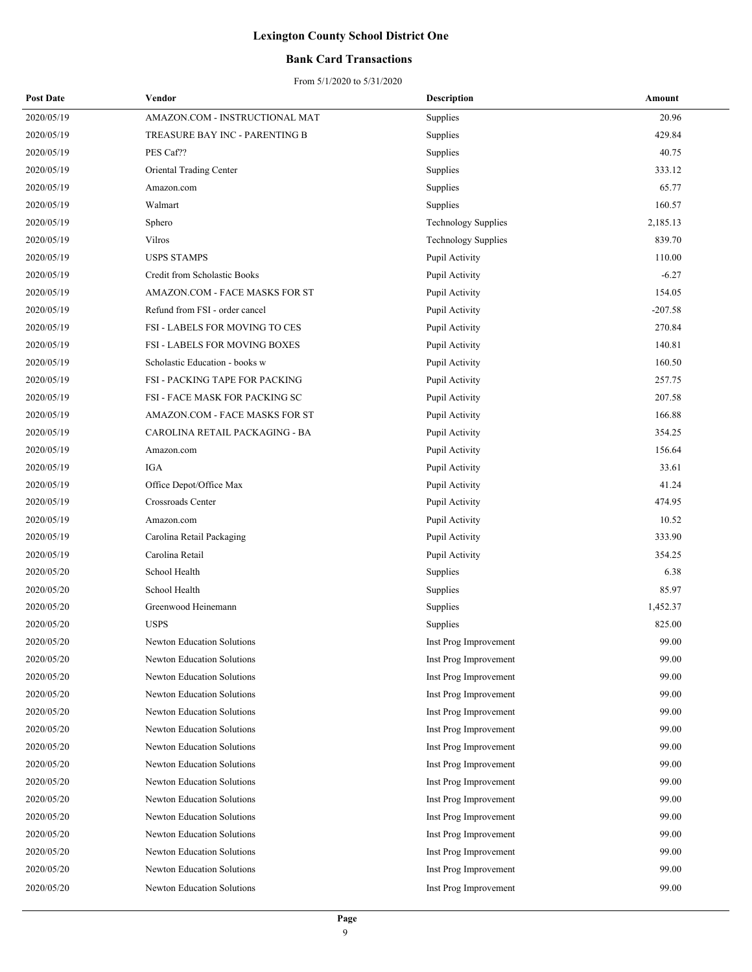### **Bank Card Transactions**

| <b>Post Date</b> | Vendor                               | <b>Description</b>         | Amount    |
|------------------|--------------------------------------|----------------------------|-----------|
| 2020/05/19       | AMAZON.COM - INSTRUCTIONAL MAT       | Supplies                   | 20.96     |
| 2020/05/19       | TREASURE BAY INC - PARENTING B       | Supplies                   | 429.84    |
| 2020/05/19       | PES Caf??                            | Supplies                   | 40.75     |
| 2020/05/19       | Oriental Trading Center              | Supplies                   | 333.12    |
| 2020/05/19       | Amazon.com                           | Supplies                   | 65.77     |
| 2020/05/19       | Walmart                              | Supplies                   | 160.57    |
| 2020/05/19       | Sphero                               | <b>Technology Supplies</b> | 2,185.13  |
| 2020/05/19       | Vilros                               | <b>Technology Supplies</b> | 839.70    |
| 2020/05/19       | <b>USPS STAMPS</b>                   | Pupil Activity             | 110.00    |
| 2020/05/19       | Credit from Scholastic Books         | Pupil Activity             | $-6.27$   |
| 2020/05/19       | AMAZON.COM - FACE MASKS FOR ST       | Pupil Activity             | 154.05    |
| 2020/05/19       | Refund from FSI - order cancel       | Pupil Activity             | $-207.58$ |
| 2020/05/19       | FSI - LABELS FOR MOVING TO CES       | Pupil Activity             | 270.84    |
| 2020/05/19       | <b>FSI - LABELS FOR MOVING BOXES</b> | Pupil Activity             | 140.81    |
| 2020/05/19       | Scholastic Education - books w       | Pupil Activity             | 160.50    |
| 2020/05/19       | FSI - PACKING TAPE FOR PACKING       | Pupil Activity             | 257.75    |
| 2020/05/19       | FSI - FACE MASK FOR PACKING SC       | Pupil Activity             | 207.58    |
| 2020/05/19       | AMAZON.COM - FACE MASKS FOR ST       | Pupil Activity             | 166.88    |
| 2020/05/19       | CAROLINA RETAIL PACKAGING - BA       | Pupil Activity             | 354.25    |
| 2020/05/19       | Amazon.com                           | Pupil Activity             | 156.64    |
| 2020/05/19       | IGA                                  | Pupil Activity             | 33.61     |
| 2020/05/19       | Office Depot/Office Max              | Pupil Activity             | 41.24     |
| 2020/05/19       | Crossroads Center                    | Pupil Activity             | 474.95    |
| 2020/05/19       | Amazon.com                           | Pupil Activity             | 10.52     |
| 2020/05/19       | Carolina Retail Packaging            | Pupil Activity             | 333.90    |
| 2020/05/19       | Carolina Retail                      | Pupil Activity             | 354.25    |
| 2020/05/20       | School Health                        | Supplies                   | 6.38      |
| 2020/05/20       | School Health                        | Supplies                   | 85.97     |
| 2020/05/20       | Greenwood Heinemann                  | Supplies                   | 1,452.37  |
| 2020/05/20       | <b>USPS</b>                          | Supplies                   | 825.00    |
| 2020/05/20       | Newton Education Solutions           | Inst Prog Improvement      | 99.00     |
| 2020/05/20       | <b>Newton Education Solutions</b>    | Inst Prog Improvement      | 99.00     |
| 2020/05/20       | <b>Newton Education Solutions</b>    | Inst Prog Improvement      | 99.00     |
| 2020/05/20       | Newton Education Solutions           | Inst Prog Improvement      | 99.00     |
| 2020/05/20       | Newton Education Solutions           | Inst Prog Improvement      | 99.00     |
| 2020/05/20       | Newton Education Solutions           | Inst Prog Improvement      | 99.00     |
| 2020/05/20       | <b>Newton Education Solutions</b>    | Inst Prog Improvement      | 99.00     |
| 2020/05/20       | Newton Education Solutions           | Inst Prog Improvement      | 99.00     |
| 2020/05/20       | Newton Education Solutions           | Inst Prog Improvement      | 99.00     |
| 2020/05/20       | Newton Education Solutions           | Inst Prog Improvement      | 99.00     |
| 2020/05/20       | <b>Newton Education Solutions</b>    | Inst Prog Improvement      | 99.00     |
| 2020/05/20       | Newton Education Solutions           | Inst Prog Improvement      | 99.00     |
| 2020/05/20       | <b>Newton Education Solutions</b>    | Inst Prog Improvement      | 99.00     |
| 2020/05/20       | Newton Education Solutions           | Inst Prog Improvement      | 99.00     |
| 2020/05/20       | Newton Education Solutions           | Inst Prog Improvement      | 99.00     |
|                  |                                      |                            |           |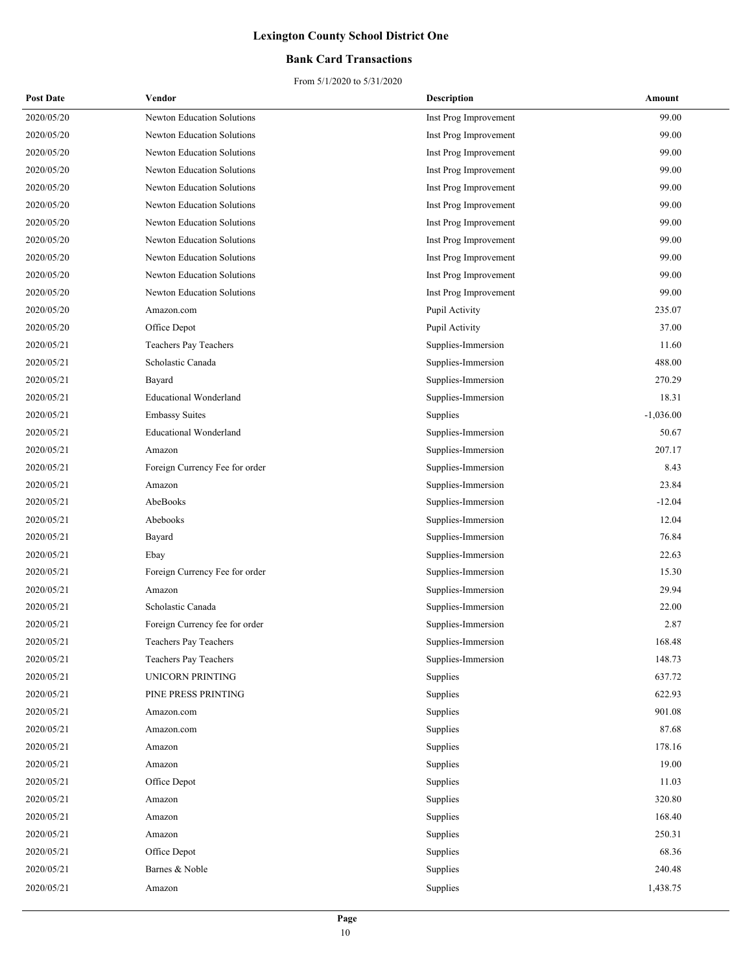### **Bank Card Transactions**

| <b>Post Date</b> | Vendor                            | <b>Description</b>    | Amount      |
|------------------|-----------------------------------|-----------------------|-------------|
| 2020/05/20       | Newton Education Solutions        | Inst Prog Improvement | 99.00       |
| 2020/05/20       | Newton Education Solutions        | Inst Prog Improvement | 99.00       |
| 2020/05/20       | <b>Newton Education Solutions</b> | Inst Prog Improvement | 99.00       |
| 2020/05/20       | <b>Newton Education Solutions</b> | Inst Prog Improvement | 99.00       |
| 2020/05/20       | Newton Education Solutions        | Inst Prog Improvement | 99.00       |
| 2020/05/20       | <b>Newton Education Solutions</b> | Inst Prog Improvement | 99.00       |
| 2020/05/20       | Newton Education Solutions        | Inst Prog Improvement | 99.00       |
| 2020/05/20       | Newton Education Solutions        | Inst Prog Improvement | 99.00       |
| 2020/05/20       | <b>Newton Education Solutions</b> | Inst Prog Improvement | 99.00       |
| 2020/05/20       | Newton Education Solutions        | Inst Prog Improvement | 99.00       |
| 2020/05/20       | <b>Newton Education Solutions</b> | Inst Prog Improvement | 99.00       |
| 2020/05/20       | Amazon.com                        | Pupil Activity        | 235.07      |
| 2020/05/20       | Office Depot                      | Pupil Activity        | 37.00       |
| 2020/05/21       | Teachers Pay Teachers             | Supplies-Immersion    | 11.60       |
| 2020/05/21       | Scholastic Canada                 | Supplies-Immersion    | 488.00      |
| 2020/05/21       | Bayard                            | Supplies-Immersion    | 270.29      |
| 2020/05/21       | <b>Educational Wonderland</b>     | Supplies-Immersion    | 18.31       |
| 2020/05/21       | <b>Embassy Suites</b>             | Supplies              | $-1,036.00$ |
| 2020/05/21       | <b>Educational Wonderland</b>     | Supplies-Immersion    | 50.67       |
| 2020/05/21       | Amazon                            | Supplies-Immersion    | 207.17      |
| 2020/05/21       | Foreign Currency Fee for order    | Supplies-Immersion    | 8.43        |
| 2020/05/21       | Amazon                            | Supplies-Immersion    | 23.84       |
| 2020/05/21       | AbeBooks                          | Supplies-Immersion    | $-12.04$    |
| 2020/05/21       | Abebooks                          | Supplies-Immersion    | 12.04       |
| 2020/05/21       | Bayard                            | Supplies-Immersion    | 76.84       |
| 2020/05/21       | Ebay                              | Supplies-Immersion    | 22.63       |
| 2020/05/21       | Foreign Currency Fee for order    | Supplies-Immersion    | 15.30       |
| 2020/05/21       | Amazon                            | Supplies-Immersion    | 29.94       |
| 2020/05/21       | Scholastic Canada                 | Supplies-Immersion    | 22.00       |
| 2020/05/21       | Foreign Currency fee for order    | Supplies-Immersion    | 2.87        |
| 2020/05/21       | Teachers Pay Teachers             | Supplies-Immersion    | 168.48      |
| 2020/05/21       | Teachers Pay Teachers             | Supplies-Immersion    | 148.73      |
| 2020/05/21       | <b>UNICORN PRINTING</b>           | Supplies              | 637.72      |
| 2020/05/21       | PINE PRESS PRINTING               | Supplies              | 622.93      |
| 2020/05/21       | Amazon.com                        | Supplies              | 901.08      |
| 2020/05/21       | Amazon.com                        | Supplies              | 87.68       |
| 2020/05/21       | Amazon                            | Supplies              | 178.16      |
| 2020/05/21       | Amazon                            | Supplies              | 19.00       |
| 2020/05/21       | Office Depot                      | Supplies              | 11.03       |
| 2020/05/21       | Amazon                            | Supplies              | 320.80      |
| 2020/05/21       | Amazon                            | Supplies              | 168.40      |
| 2020/05/21       | Amazon                            | Supplies              | 250.31      |
| 2020/05/21       | Office Depot                      | Supplies              | 68.36       |
| 2020/05/21       | Barnes & Noble                    | Supplies              | 240.48      |
| 2020/05/21       | Amazon                            | Supplies              | 1,438.75    |
|                  |                                   |                       |             |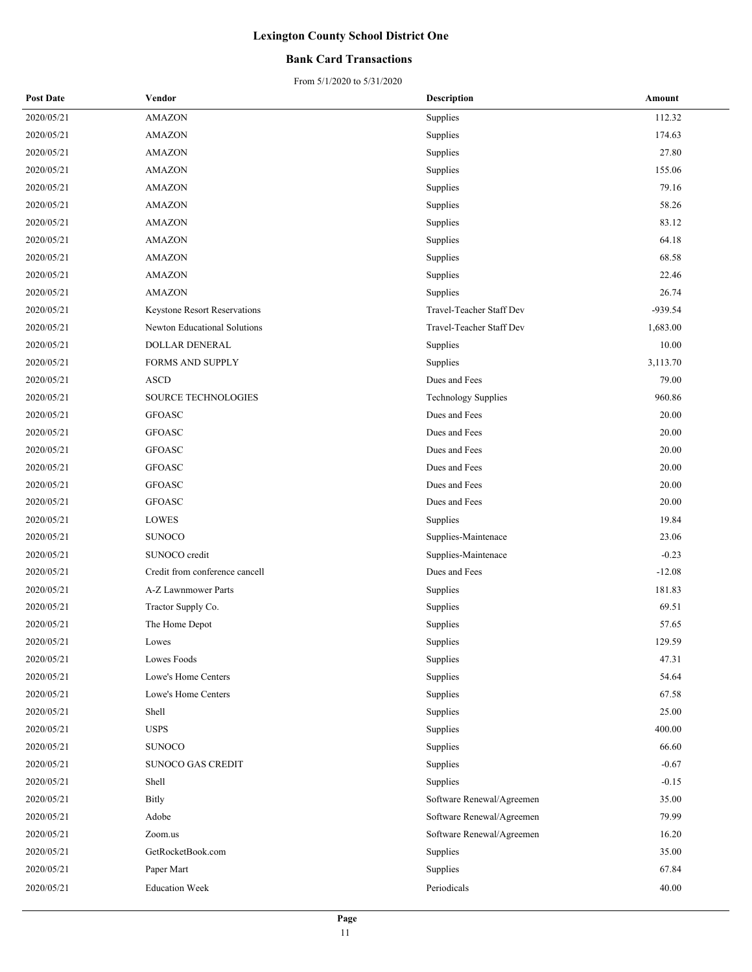### **Bank Card Transactions**

| <b>Post Date</b> | Vendor                         | <b>Description</b>         | Amount    |
|------------------|--------------------------------|----------------------------|-----------|
| 2020/05/21       | <b>AMAZON</b>                  | Supplies                   | 112.32    |
| 2020/05/21       | <b>AMAZON</b>                  | Supplies                   | 174.63    |
| 2020/05/21       | <b>AMAZON</b>                  | Supplies                   | 27.80     |
| 2020/05/21       | <b>AMAZON</b>                  | Supplies                   | 155.06    |
| 2020/05/21       | <b>AMAZON</b>                  | Supplies                   | 79.16     |
| 2020/05/21       | <b>AMAZON</b>                  | Supplies                   | 58.26     |
| 2020/05/21       | <b>AMAZON</b>                  | Supplies                   | 83.12     |
| 2020/05/21       | <b>AMAZON</b>                  | Supplies                   | 64.18     |
| 2020/05/21       | <b>AMAZON</b>                  | Supplies                   | 68.58     |
| 2020/05/21       | <b>AMAZON</b>                  | Supplies                   | 22.46     |
| 2020/05/21       | <b>AMAZON</b>                  | Supplies                   | 26.74     |
| 2020/05/21       | Keystone Resort Reservations   | Travel-Teacher Staff Dev   | $-939.54$ |
| 2020/05/21       | Newton Educational Solutions   | Travel-Teacher Staff Dev   | 1,683.00  |
| 2020/05/21       | DOLLAR DENERAL                 | Supplies                   | 10.00     |
| 2020/05/21       | <b>FORMS AND SUPPLY</b>        | Supplies                   | 3,113.70  |
| 2020/05/21       | <b>ASCD</b>                    | Dues and Fees              | 79.00     |
| 2020/05/21       | SOURCE TECHNOLOGIES            | <b>Technology Supplies</b> | 960.86    |
| 2020/05/21       | <b>GFOASC</b>                  | Dues and Fees              | 20.00     |
| 2020/05/21       | <b>GFOASC</b>                  | Dues and Fees              | 20.00     |
| 2020/05/21       | <b>GFOASC</b>                  | Dues and Fees              | 20.00     |
| 2020/05/21       | <b>GFOASC</b>                  | Dues and Fees              | 20.00     |
| 2020/05/21       | <b>GFOASC</b>                  | Dues and Fees              | 20.00     |
| 2020/05/21       | <b>GFOASC</b>                  | Dues and Fees              | 20.00     |
| 2020/05/21       | LOWES                          | Supplies                   | 19.84     |
| 2020/05/21       | <b>SUNOCO</b>                  | Supplies-Maintenace        | 23.06     |
| 2020/05/21       | SUNOCO credit                  | Supplies-Maintenace        | $-0.23$   |
| 2020/05/21       | Credit from conference cancell | Dues and Fees              | $-12.08$  |
| 2020/05/21       | A-Z Lawnmower Parts            | Supplies                   | 181.83    |
| 2020/05/21       | Tractor Supply Co.             | Supplies                   | 69.51     |
| 2020/05/21       | The Home Depot                 | Supplies                   | 57.65     |
| 2020/05/21       | Lowes                          | Supplies                   | 129.59    |
| 2020/05/21       | Lowes Foods                    | Supplies                   | 47.31     |
| 2020/05/21       | Lowe's Home Centers            | Supplies                   | 54.64     |
| 2020/05/21       | Lowe's Home Centers            | Supplies                   | 67.58     |
| 2020/05/21       | Shell                          | Supplies                   | 25.00     |
| 2020/05/21       | <b>USPS</b>                    | Supplies                   | 400.00    |
| 2020/05/21       | <b>SUNOCO</b>                  | Supplies                   | 66.60     |
| 2020/05/21       | <b>SUNOCO GAS CREDIT</b>       | Supplies                   | $-0.67$   |
| 2020/05/21       | Shell                          | Supplies                   | $-0.15$   |
| 2020/05/21       | <b>Bitly</b>                   | Software Renewal/Agreemen  | 35.00     |
| 2020/05/21       | Adobe                          | Software Renewal/Agreemen  | 79.99     |
| 2020/05/21       | Zoom.us                        | Software Renewal/Agreemen  | 16.20     |
| 2020/05/21       | GetRocketBook.com              | Supplies                   | 35.00     |
| 2020/05/21       | Paper Mart                     | Supplies                   | 67.84     |
| 2020/05/21       | <b>Education Week</b>          | Periodicals                | 40.00     |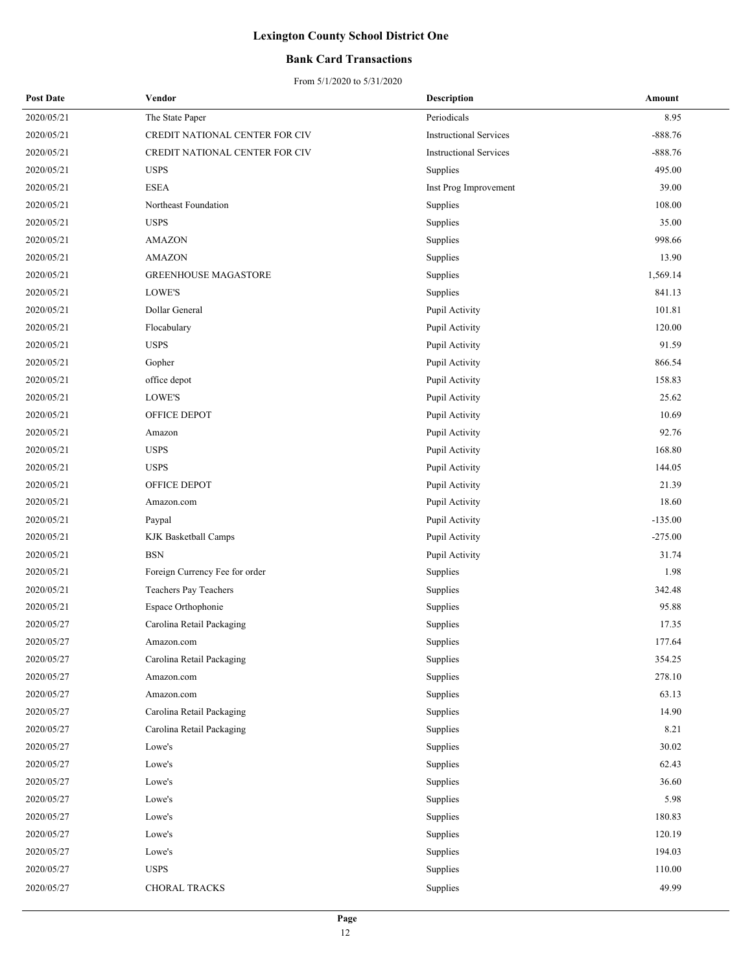### **Bank Card Transactions**

| <b>Post Date</b> | Vendor                         | <b>Description</b>            | Amount    |
|------------------|--------------------------------|-------------------------------|-----------|
| 2020/05/21       | The State Paper                | Periodicals                   | 8.95      |
| 2020/05/21       | CREDIT NATIONAL CENTER FOR CIV | <b>Instructional Services</b> | $-888.76$ |
| 2020/05/21       | CREDIT NATIONAL CENTER FOR CIV | <b>Instructional Services</b> | $-888.76$ |
| 2020/05/21       | <b>USPS</b>                    | Supplies                      | 495.00    |
| 2020/05/21       | <b>ESEA</b>                    | Inst Prog Improvement         | 39.00     |
| 2020/05/21       | Northeast Foundation           | Supplies                      | 108.00    |
| 2020/05/21       | <b>USPS</b>                    | Supplies                      | 35.00     |
| 2020/05/21       | <b>AMAZON</b>                  | Supplies                      | 998.66    |
| 2020/05/21       | <b>AMAZON</b>                  | Supplies                      | 13.90     |
| 2020/05/21       | <b>GREENHOUSE MAGASTORE</b>    | Supplies                      | 1,569.14  |
| 2020/05/21       | LOWE'S                         | Supplies                      | 841.13    |
| 2020/05/21       | Dollar General                 | Pupil Activity                | 101.81    |
| 2020/05/21       | Flocabulary                    | Pupil Activity                | 120.00    |
| 2020/05/21       | <b>USPS</b>                    | Pupil Activity                | 91.59     |
| 2020/05/21       | Gopher                         | Pupil Activity                | 866.54    |
| 2020/05/21       | office depot                   | Pupil Activity                | 158.83    |
| 2020/05/21       | LOWE'S                         | Pupil Activity                | 25.62     |
| 2020/05/21       | OFFICE DEPOT                   | Pupil Activity                | 10.69     |
| 2020/05/21       | Amazon                         | Pupil Activity                | 92.76     |
| 2020/05/21       | <b>USPS</b>                    | Pupil Activity                | 168.80    |
| 2020/05/21       | <b>USPS</b>                    | Pupil Activity                | 144.05    |
| 2020/05/21       | OFFICE DEPOT                   | Pupil Activity                | 21.39     |
| 2020/05/21       | Amazon.com                     | Pupil Activity                | 18.60     |
| 2020/05/21       | Paypal                         | Pupil Activity                | $-135.00$ |
| 2020/05/21       | KJK Basketball Camps           | Pupil Activity                | $-275.00$ |
| 2020/05/21       | <b>BSN</b>                     | Pupil Activity                | 31.74     |
| 2020/05/21       | Foreign Currency Fee for order | Supplies                      | 1.98      |
| 2020/05/21       | Teachers Pay Teachers          | Supplies                      | 342.48    |
| 2020/05/21       | Espace Orthophonie             | Supplies                      | 95.88     |
| 2020/05/27       | Carolina Retail Packaging      | Supplies                      | 17.35     |
| 2020/05/27       | Amazon.com                     | Supplies                      | 177.64    |
| 2020/05/27       | Carolina Retail Packaging      | Supplies                      | 354.25    |
| 2020/05/27       | Amazon.com                     | Supplies                      | 278.10    |
| 2020/05/27       | Amazon.com                     | Supplies                      | 63.13     |
| 2020/05/27       | Carolina Retail Packaging      | Supplies                      | 14.90     |
| 2020/05/27       | Carolina Retail Packaging      | Supplies                      | 8.21      |
| 2020/05/27       | Lowe's                         | Supplies                      | 30.02     |
| 2020/05/27       | Lowe's                         | Supplies                      | 62.43     |
| 2020/05/27       | Lowe's                         | Supplies                      | 36.60     |
| 2020/05/27       | Lowe's                         | Supplies                      | 5.98      |
| 2020/05/27       | Lowe's                         | Supplies                      | 180.83    |
| 2020/05/27       | Lowe's                         | Supplies                      | 120.19    |
| 2020/05/27       | Lowe's                         | Supplies                      | 194.03    |
| 2020/05/27       | <b>USPS</b>                    | Supplies                      | 110.00    |
| 2020/05/27       | CHORAL TRACKS                  | Supplies                      | 49.99     |
|                  |                                |                               |           |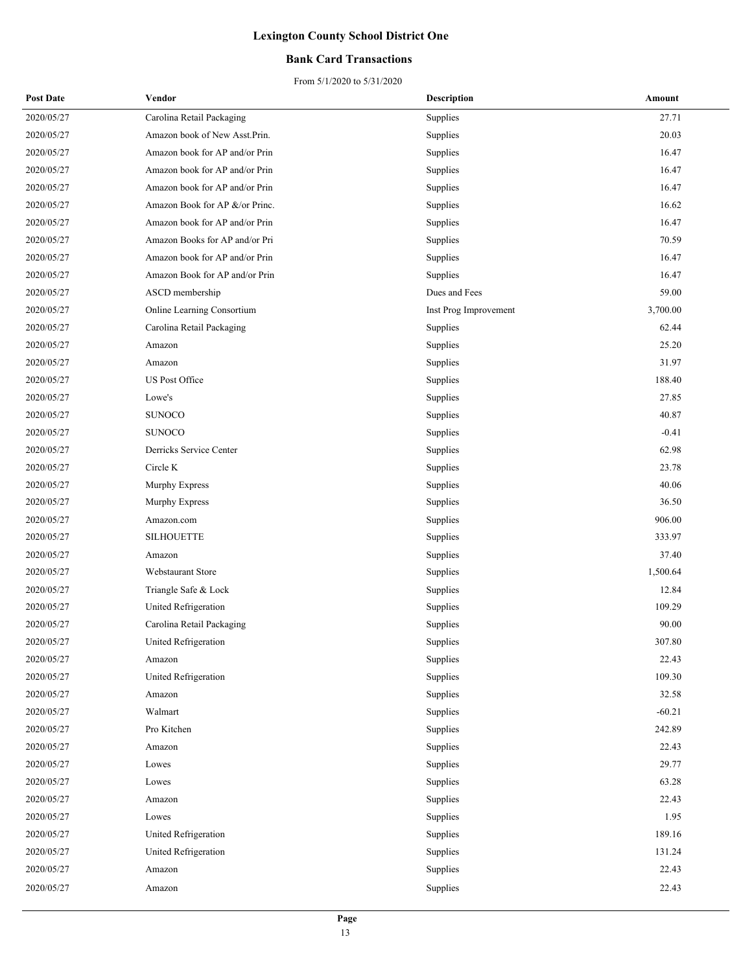### **Bank Card Transactions**

| <b>Post Date</b> | Vendor                         | <b>Description</b>    | Amount   |
|------------------|--------------------------------|-----------------------|----------|
| 2020/05/27       | Carolina Retail Packaging      | Supplies              | 27.71    |
| 2020/05/27       | Amazon book of New Asst.Prin.  | Supplies              | 20.03    |
| 2020/05/27       | Amazon book for AP and/or Prin | Supplies              | 16.47    |
| 2020/05/27       | Amazon book for AP and/or Prin | Supplies              | 16.47    |
| 2020/05/27       | Amazon book for AP and/or Prin | Supplies              | 16.47    |
| 2020/05/27       | Amazon Book for AP &/or Princ. | Supplies              | 16.62    |
| 2020/05/27       | Amazon book for AP and/or Prin | Supplies              | 16.47    |
| 2020/05/27       | Amazon Books for AP and/or Pri | Supplies              | 70.59    |
| 2020/05/27       | Amazon book for AP and/or Prin | Supplies              | 16.47    |
| 2020/05/27       | Amazon Book for AP and/or Prin | Supplies              | 16.47    |
| 2020/05/27       | ASCD membership                | Dues and Fees         | 59.00    |
| 2020/05/27       | Online Learning Consortium     | Inst Prog Improvement | 3,700.00 |
| 2020/05/27       | Carolina Retail Packaging      | Supplies              | 62.44    |
| 2020/05/27       | Amazon                         | Supplies              | 25.20    |
| 2020/05/27       | Amazon                         | Supplies              | 31.97    |
| 2020/05/27       | US Post Office                 | Supplies              | 188.40   |
| 2020/05/27       | Lowe's                         | Supplies              | 27.85    |
| 2020/05/27       | <b>SUNOCO</b>                  | Supplies              | 40.87    |
| 2020/05/27       | <b>SUNOCO</b>                  | Supplies              | $-0.41$  |
| 2020/05/27       | Derricks Service Center        | Supplies              | 62.98    |
| 2020/05/27       | Circle K                       | Supplies              | 23.78    |
| 2020/05/27       | Murphy Express                 | Supplies              | 40.06    |
| 2020/05/27       | Murphy Express                 | Supplies              | 36.50    |
| 2020/05/27       | Amazon.com                     | Supplies              | 906.00   |
| 2020/05/27       | <b>SILHOUETTE</b>              | Supplies              | 333.97   |
| 2020/05/27       | Amazon                         | Supplies              | 37.40    |
| 2020/05/27       | Webstaurant Store              | Supplies              | 1,500.64 |
| 2020/05/27       | Triangle Safe & Lock           | Supplies              | 12.84    |
| 2020/05/27       | United Refrigeration           | Supplies              | 109.29   |
| 2020/05/27       | Carolina Retail Packaging      | Supplies              | 90.00    |
| 2020/05/27       | United Refrigeration           | Supplies              | 307.80   |
| 2020/05/27       | Amazon                         | Supplies              | 22.43    |
| 2020/05/27       | United Refrigeration           | Supplies              | 109.30   |
| 2020/05/27       | Amazon                         | Supplies              | 32.58    |
| 2020/05/27       | Walmart                        | Supplies              | $-60.21$ |
| 2020/05/27       | Pro Kitchen                    | Supplies              | 242.89   |
| 2020/05/27       | Amazon                         | Supplies              | 22.43    |
| 2020/05/27       | Lowes                          | Supplies              | 29.77    |
| 2020/05/27       | Lowes                          | Supplies              | 63.28    |
| 2020/05/27       | Amazon                         | Supplies              | 22.43    |
| 2020/05/27       | Lowes                          | Supplies              | 1.95     |
| 2020/05/27       | United Refrigeration           | Supplies              | 189.16   |
| 2020/05/27       | United Refrigeration           | Supplies              | 131.24   |
| 2020/05/27       | Amazon                         | Supplies              | 22.43    |
| 2020/05/27       | Amazon                         | Supplies              | 22.43    |
|                  |                                |                       |          |